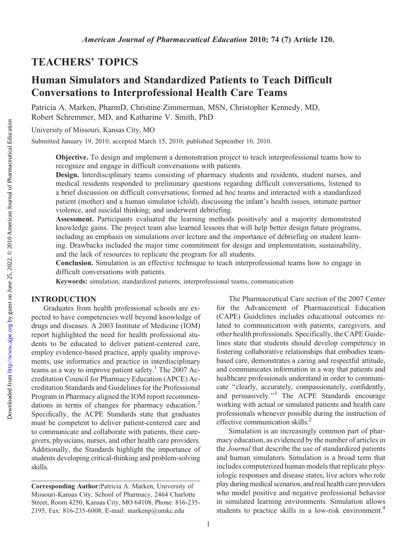## TEACHERS' TOPICS

# Human Simulators and Standardized Patients to Teach Difficult Conversations to Interprofessional Health Care Teams

Patricia A. Marken, PharmD, Christine Zimmerman, MSN, Christopher Kennedy, MD, Robert Schremmer, MD, and Katharine V. Smith, PhD

University of Missouri, Kansas City, MO

Submitted January 19, 2010; accepted March 15, 2010; published September 10, 2010.

Objective. To design and implement a demonstration project to teach interprofessional teams how to recognize and engage in difficult conversations with patients.

Design. Interdisciplinary teams consisting of pharmacy students and residents, student nurses, and medical residents responded to preliminary questions regarding difficult conversations, listened to a brief discussion on difficult conversations; formed ad hoc teams and interacted with a standardized patient (mother) and a human simulator (child), discussing the infant's health issues, intimate partner violence, and suicidal thinking; and underwent debriefing.

Assessment. Participants evaluated the learning methods positively and a majority demonstrated knowledge gains. The project team also learned lessons that will help better design future programs, including an emphasis on simulations over lecture and the importance of debriefing on student learning. Drawbacks included the major time commitment for design and implementation, sustainability, and the lack of resources to replicate the program for all students.

Conclusion. Simulation is an effective technique to teach interprofessional teams how to engage in difficult conversations with patients.

Keywords: simulation, standardized patients, interprofessional teams, communication

## INTRODUCTION

Graduates from health professional schools are expected to have competencies well beyond knowledge of drugs and diseases. A 2003 Institute of Medicine (IOM) report highlighted the need for health professional students to be educated to deliver patient-centered care, employ evidence-based practice, apply quality improvements, use informatics and practice in interdisciplinary teams as a way to improve patient safety.<sup>1</sup> The 2007 Accreditation Council for Pharmacy Education (APCE) Accreditation Standards and Guidelines for the Professional Program in Pharmacy aligned the IOM report recommendations in terms of changes for pharmacy education.<sup>2</sup> Specifically, the ACPE Standards state that graduates must be competent to deliver patient-centered care and to communicate and collaborate with patients, their caregivers, physicians, nurses, and other health care providers. Additionally, the Standards highlight the importance of students developing critical-thinking and problem-solving skills.

The Pharmaceutical Care section of the 2007 Center for the Advancement of Pharmaceutical Education (CAPE) Guidelines includes educational outcomes related to communication with patients, caregivers, and other health professionals. Specifically, the CAPE Guidelines state that students should develop competency in fostering collaborative relationships that embodies teambased care, demonstrates a caring and respectful attitude, and communicates information in a way that patients and healthcare professionals understand in order to communicate ''clearly, accurately, compassionately, confidently, and persuasively."<sup>3</sup> The ACPE Standards encourage working with actual or simulated patients and health care professionals whenever possible during the instruction of effective communication skills.<sup>2</sup>

Simulation is an increasingly common part of pharmacy education, as evidenced by the number of articles in the Journal that describe the use of standardized patients and human simulators. Simulation is a broad term that includes computerized human models that replicate physiologic responses and disease states, live actors who role play during medical scenarios, and real health care providers who model positive and negative professional behavior in simulated learning environments. Simulation allows students to practice skills in a low-risk environment.<sup>4</sup>

Corresponding Author:Patricia A. Marken, University of Missouri-Kansas City, School of Pharmacy, 2464 Charlotte Street, Room 4250, Kansas City, MO 64108, Phone: 816-235- 2195, Fax: 816-235-6008, E-mail: markenp@umkc.edu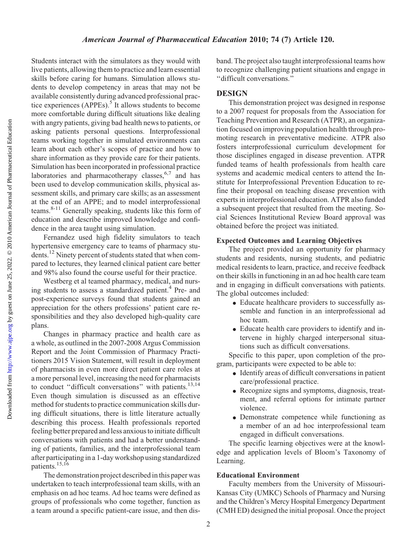Students interact with the simulators as they would with live patients, allowing them to practice and learn essential skills before caring for humans. Simulation allows students to develop competency in areas that may not be available consistently during advanced professional practice experiences  $(APPEs)$ .<sup>5</sup> It allows students to become more comfortable during difficult situations like dealing with angry patients, giving bad health news to patients, or asking patients personal questions. Interprofessional teams working together in simulated environments can learn about each other's scopes of practice and how to share information as they provide care for their patients. Simulation has been incorporated in professional practice laboratories and pharmacotherapy classes,  $6,7$  and has been used to develop communication skills, physical assessment skills, and primary care skills; as an assessment at the end of an APPE; and to model interprofessional teams.<sup>8-11</sup> Generally speaking, students like this form of education and describe improved knowledge and confidence in the area taught using simulation.

Fernandez used high fidelity simulators to teach hypertensive emergency care to teams of pharmacy students.12 Ninety percent of students stated that when compared to lectures, they learned clinical patient care better and 98% also found the course useful for their practice.

Westberg et al teamed pharmacy, medical, and nursing students to assess a standardized patient.<sup>4</sup> Pre- and post-experience surveys found that students gained an appreciation for the others professions' patient care responsibilities and they also developed high-quality care plans.

Changes in pharmacy practice and health care as a whole, as outlined in the 2007-2008 Argus Commission Report and the Joint Commission of Pharmacy Practitioners 2015 Vision Statement, will result in deployment of pharmacists in even more direct patient care roles at a more personal level, increasing the need for pharmacists to conduct "difficult conversations" with patients.<sup>13,14</sup> Even though simulation is discussed as an effective method for students to practice communication skills during difficult situations, there is little literature actually describing this process. Health professionals reported feeling better prepared and less anxious to initiate difficult conversations with patients and had a better understanding of patients, families, and the interprofessional team after participating in a 1-day workshop using standardized patients. $15,16$ 

The demonstration project described in this paper was undertaken to teach interprofessional team skills, with an emphasis on ad hoc teams. Ad hoc teams were defined as groups of professionals who come together, function as a team around a specific patient-care issue, and then disband. The project also taught interprofessional teams how to recognize challenging patient situations and engage in ''difficult conversations.''

## **DESIGN**

This demonstration project was designed in response to a 2007 request for proposals from the Association for Teaching Prevention and Research (ATPR), an organization focused on improving population health through promoting research in preventative medicine. ATPR also fosters interprofessional curriculum development for those disciplines engaged in disease prevention. ATPR funded teams of health professionals from health care systems and academic medical centers to attend the Institute for Interprofessional Prevention Education to refine their proposal on teaching disease prevention with experts in interprofessional education. ATPR also funded a subsequent project that resulted from the meeting. Social Sciences Institutional Review Board approval was obtained before the project was initiated.

## Expected Outcomes and Learning Objectives

The project provided an opportunity for pharmacy students and residents, nursing students, and pediatric medical residents to learn, practice, and receive feedback on their skills in functioning in an ad hoc health care team and in engaging in difficult conversations with patients. The global outcomes included:

- Educate healthcare providers to successfully assemble and function in an interprofessional ad hoc team.
- Educate health care providers to identify and intervene in highly charged interpersonal situations such as difficult conversations.

Specific to this paper, upon completion of the program, participants were expected to be able to:

- Identify areas of difficult conversations in patient care/professional practice.
- Recognize signs and symptoms, diagnosis, treatment, and referral options for intimate partner violence.
- Demonstrate competence while functioning as a member of an ad hoc interprofessional team engaged in difficult conversations.

The specific learning objectives were at the knowledge and application levels of Bloom's Taxonomy of Learning.

## Educational Environment

Faculty members from the University of Missouri-Kansas City (UMKC) Schools of Pharmacy and Nursing and the Children's Mercy Hospital Emergency Department (CMH ED) designed the initial proposal. Once the project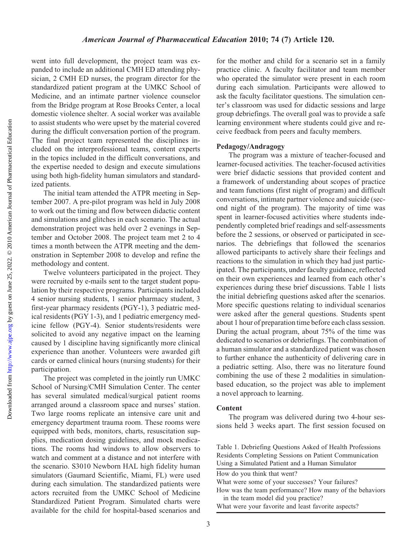went into full development, the project team was expanded to include an additional CMH ED attending physician, 2 CMH ED nurses, the program director for the standardized patient program at the UMKC School of Medicine, and an intimate partner violence counselor from the Bridge program at Rose Brooks Center, a local domestic violence shelter. A social worker was available to assist students who were upset by the material covered during the difficult conversation portion of the program. The final project team represented the disciplines included on the interprofessional teams, content experts in the topics included in the difficult conversations, and the expertise needed to design and execute simulations using both high-fidelity human simulators and standardized patients.

The initial team attended the ATPR meeting in September 2007. A pre-pilot program was held in July 2008 to work out the timing and flow between didactic content and simulations and glitches in each scenario. The actual demonstration project was held over 2 evenings in September and October 2008. The project team met 2 to 4 times a month between the ATPR meeting and the demonstration in September 2008 to develop and refine the methodology and content.

Twelve volunteers participated in the project. They were recruited by e-mails sent to the target student population by their respective programs. Participants included 4 senior nursing students, 1 senior pharmacy student, 3 first-year pharmacy residents (PGY-1), 3 pediatric medical residents (PGY 1-3), and 1 pediatric emergency medicine fellow (PGY-4). Senior students/residents were solicited to avoid any negative impact on the learning caused by 1 discipline having significantly more clinical experience than another. Volunteers were awarded gift cards or earned clinical hours (nursing students) for their participation.

The project was completed in the jointly run UMKC School of Nursing/CMH Simulation Center. The center has several simulated medical/surgical patient rooms arranged around a classroom space and nurses' station. Two large rooms replicate an intensive care unit and emergency department trauma room. These rooms were equipped with beds, monitors, charts, resuscitation supplies, medication dosing guidelines, and mock medications. The rooms had windows to allow observers to watch and comment at a distance and not interfere with the scenario. S3010 Newborn HAL high fidelity human simulators (Gaumard Scientific, Miami, FL) were used during each simulation. The standardized patients were actors recruited from the UMKC School of Medicine Standardized Patient Program. Simulated charts were available for the child for hospital-based scenarios and

for the mother and child for a scenario set in a family practice clinic. A faculty facilitator and team member who operated the simulator were present in each room during each simulation. Participants were allowed to ask the faculty facilitator questions. The simulation center's classroom was used for didactic sessions and large group debriefings. The overall goal was to provide a safe learning environment where students could give and receive feedback from peers and faculty members.

## Pedagogy/Andragogy

The program was a mixture of teacher-focused and learner-focused activities. The teacher-focused activities were brief didactic sessions that provided content and a framework of understanding about scopes of practice and team functions (first night of program) and difficult conversations, intimate partner violence and suicide (second night of the program). The majority of time was spent in learner-focused activities where students independently completed brief readings and self-assessments before the 2 sessions, or observed or participated in scenarios. The debriefings that followed the scenarios allowed participants to actively share their feelings and reactions to the simulation in which they had just participated. The participants, under faculty guidance, reflected on their own experiences and learned from each other's experiences during these brief discussions. Table 1 lists the initial debriefing questions asked after the scenarios. More specific questions relating to individual scenarios were asked after the general questions. Students spent about 1 hour of preparation time before each class session. During the actual program, about 75% of the time was dedicated to scenarios or debriefings. The combination of a human simulator and a standardized patient was chosen to further enhance the authenticity of delivering care in a pediatric setting. Also, there was no literature found combining the use of these 2 modalities in simulationbased education, so the project was able to implement a novel approach to learning.

## **Content**

The program was delivered during two 4-hour sessions held 3 weeks apart. The first session focused on

Table 1. Debriefing Questions Asked of Health Professions Residents Completing Sessions on Patient Communication Using a Simulated Patient and a Human Simulator

How do you think that went?

What were some of your successes? Your failures? How was the team performance? How many of the behaviors in the team model did you practice?

What were your favorite and least favorite aspects?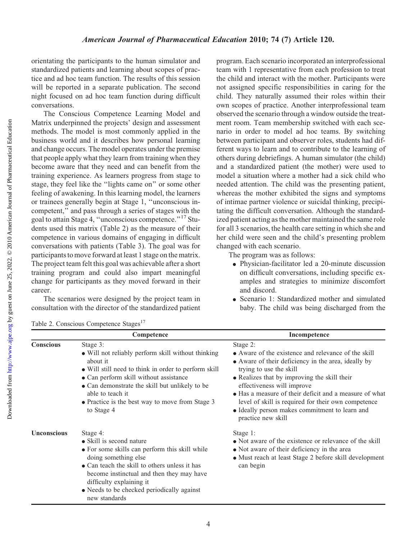## American Journal of Pharmaceutical Education 2010; 74 (7) Article 120.

orientating the participants to the human simulator and standardized patients and learning about scopes of practice and ad hoc team function. The results of this session will be reported in a separate publication. The second night focused on ad hoc team function during difficult conversations.

The Conscious Competence Learning Model and Matrix underpinned the projects' design and assessment methods. The model is most commonly applied in the business world and it describes how personal learning and change occurs. The model operates under the premise that people apply what they learn from training when they become aware that they need and can benefit from the training experience. As learners progress from stage to stage, they feel like the ''lights came on'' or some other feeling of awakening. In this learning model, the learners or trainees generally begin at Stage 1, ''unconscious incompetent,'' and pass through a series of stages with the goal to attain Stage 4, ''unconscious competence.''<sup>17</sup> Students used this matrix (Table 2) as the measure of their competence in various domains of engaging in difficult conversations with patients (Table 3). The goal was for participants to move forward at least 1 stage on the matrix. The project team felt this goal was achievable after a short training program and could also impart meaningful change for participants as they moved forward in their career.

The scenarios were designed by the project team in consultation with the director of the standardized patient program. Each scenario incorporated an interprofessional team with 1 representative from each profession to treat the child and interact with the mother. Participants were not assigned specific responsibilities in caring for the child. They naturally assumed their roles within their own scopes of practice. Another interprofessional team observed the scenario through a window outside the treatment room. Team membership switched with each scenario in order to model ad hoc teams. By switching between participant and observer roles, students had different ways to learn and to contribute to the learning of others during debriefings. A human simulator (the child) and a standardized patient (the mother) were used to model a situation where a mother had a sick child who needed attention. The child was the presenting patient, whereas the mother exhibited the signs and symptoms of intimae partner violence or suicidal thinking, precipitating the difficult conversation. Although the standardized patient acting as the mother maintained the same role for all 3 scenarios, the health care setting in which she and her child were seen and the child's presenting problem changed with each scenario.

The program was as follows:

- <sup>d</sup> Physician-facilitator led a 20-minute discussion on difficult conversations, including specific examples and strategies to minimize discomfort and discord.
- Scenario 1: Standardized mother and simulated baby. The child was being discharged from the

Table 2. Conscious Competence Stages<sup>17</sup>

|                    | Competence                                                                                                                                                                                                                                                                                                          | Incompetence                                                                                                                                                                                                                                                                                                                                                                                                             |
|--------------------|---------------------------------------------------------------------------------------------------------------------------------------------------------------------------------------------------------------------------------------------------------------------------------------------------------------------|--------------------------------------------------------------------------------------------------------------------------------------------------------------------------------------------------------------------------------------------------------------------------------------------------------------------------------------------------------------------------------------------------------------------------|
| <b>Conscious</b>   | Stage 3:<br>• Will not reliably perform skill without thinking<br>about it<br>• Will still need to think in order to perform skill<br>• Can perform skill without assistance<br>• Can demonstrate the skill but unlikely to be<br>able to teach it<br>• Practice is the best way to move from Stage 3<br>to Stage 4 | Stage 2:<br>• Aware of the existence and relevance of the skill<br>• Aware of their deficiency in the area, ideally by<br>trying to use the skill<br>• Realizes that by improving the skill their<br>effectiveness will improve<br>• Has a measure of their deficit and a measure of what<br>level of skill is required for their own competence<br>• Ideally person makes commitment to learn and<br>practice new skill |
| <b>Unconscious</b> | Stage 4:<br>• Skill is second nature<br>• For some skills can perform this skill while<br>doing something else<br>• Can teach the skill to others unless it has<br>become instinctual and then they may have<br>difficulty explaining it<br>• Needs to be checked periodically against<br>new standards             | Stage 1:<br>• Not aware of the existence or relevance of the skill<br>• Not aware of their deficiency in the area<br>• Must reach at least Stage 2 before skill development<br>can begin                                                                                                                                                                                                                                 |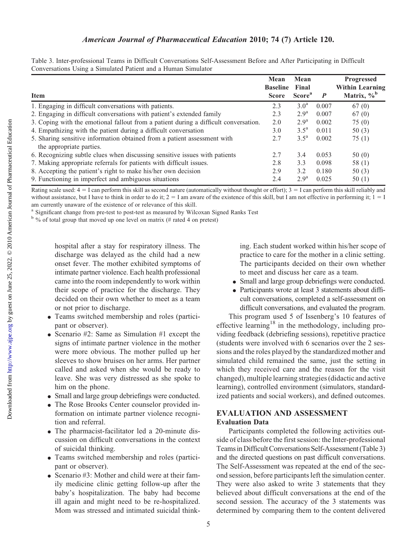| <b>Item</b>                                                                                          | Mean<br><b>Baseline</b><br><b>Score</b> | Mean<br>Final<br>Score <sup>a</sup> | $\boldsymbol{P}$ | <b>Progressed</b><br><b>Within Learning</b><br>Matrix, $\%$ <sup>b</sup> |
|------------------------------------------------------------------------------------------------------|-----------------------------------------|-------------------------------------|------------------|--------------------------------------------------------------------------|
| 1. Engaging in difficult conversations with patients.                                                | 2.3                                     | 3.0 <sup>a</sup>                    | 0.007            | 67(0)                                                                    |
| 2. Engaging in difficult conversations with patient's extended family                                | 2.3                                     | 2.9 <sup>a</sup>                    | 0.007            | 67(0)                                                                    |
| 3. Coping with the emotional fallout from a patient during a difficult conversation.                 | 2.0                                     | 2.9 <sup>a</sup>                    | 0.002            | 75(0)                                                                    |
| 4. Empathizing with the patient during a difficult conversation                                      | 3.0                                     | $3.5^{\rm a}$                       | 0.011            | 50(3)                                                                    |
| 5. Sharing sensitive information obtained from a patient assessment with<br>the appropriate parties. | 2.7                                     | $3.5^{\mathrm{a}}$                  | 0.002            | 75(1)                                                                    |
| 6. Recognizing subtle clues when discussing sensitive issues with patients                           | 2.7                                     | 3.4                                 | 0.053            | 50(0)                                                                    |
| 7. Making appropriate referrals for patients with difficult issues.                                  | 2.8                                     | 3.3                                 | 0.098            | 58 (1)                                                                   |
| 8. Accepting the patient's right to make his/her own decision                                        | 2.9                                     | 3.2                                 | 0.180            | 50(3)                                                                    |
| 9. Functioning in imperfect and ambiguous situations                                                 | 2.4                                     | 2.9 <sup>a</sup>                    | 0.025            | 50(1)                                                                    |

Table 3. Inter-professional Teams in Difficult Conversations Self-Assessment Before and After Participating in Difficult Conversations Using a Simulated Patient and a Human Simulator

Rating scale used:  $4 = I$  can perform this skill as second nature (automatically without thought or effort);  $3 = I$  can perform this skill reliably and without assistance, but I have to think in order to do it;  $2 = I$  am aware of the existence of this skill, but I am not effective in performing it;  $1 = I$ am currently unaware of the existence of or relevance of this skill.

<sup>a</sup> Significant change from pre-test to post-test as measured by Wilcoxan Signed Ranks Test

 $b_{\infty}$  % of total group that moved up one level on matrix (# rated 4 on pretest)

hospital after a stay for respiratory illness. The discharge was delayed as the child had a new onset fever. The mother exhibited symptoms of intimate partner violence. Each health professional came into the room independently to work within their scope of practice for the discharge. They decided on their own whether to meet as a team or not prior to discharge.

- Teams switched membership and roles (participant or observer).
- Scenario #2: Same as Simulation #1 except the signs of intimate partner violence in the mother were more obvious. The mother pulled up her sleeves to show bruises on her arms. Her partner called and asked when she would be ready to leave. She was very distressed as she spoke to him on the phone.
- Small and large group debriefings were conducted.
- The Rose Brooks Center counselor provided information on intimate partner violence recognition and referral.
- The pharmacist-facilitator led a 20-minute discussion on difficult conversations in the context of suicidal thinking.
- Teams switched membership and roles (participant or observer).
- $\bullet$  Scenario #3: Mother and child were at their family medicine clinic getting follow-up after the baby's hospitalization. The baby had become ill again and might need to be re-hospitalized. Mom was stressed and intimated suicidal think-

ing. Each student worked within his/her scope of practice to care for the mother in a clinic setting. The participants decided on their own whether to meet and discuss her care as a team.

- Small and large group debriefings were conducted.
- <sup>d</sup> Participants wrote at least 3 statements about difficult conversations, completed a self-assessment on difficult conversations, and evaluated the program.

This program used 5 of Issenberg's 10 features of effective learning<sup>18</sup> in the methodology, including providing feedback (debriefing sessions), repetitive practice (students were involved with 6 scenarios over the 2 sessions and the roles played by the standardized mother and simulated child remained the same, just the setting in which they received care and the reason for the visit changed), multiple learning strategies (didactic and active learning), controlled environment (simulators, standardized patients and social workers), and defined outcomes.

## EVALUATION AND ASSESSMENT Evaluation Data

Participants completed the following activities outside of class before the first session: the Inter-professional Teams in Difficult Conversations Self-Assessment (Table 3) and the directed questions on past difficult conversations. The Self-Assessment was repeated at the end of the second session, before participants left the simulation center. They were also asked to write 3 statements that they believed about difficult conversations at the end of the second session. The accuracy of the 3 statements was determined by comparing them to the content delivered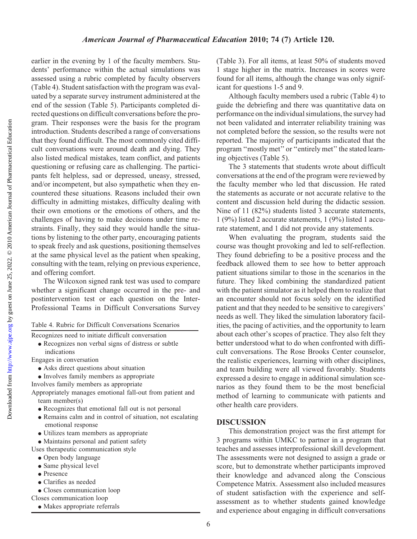earlier in the evening by 1 of the faculty members. Students' performance within the actual simulations was assessed using a rubric completed by faculty observers (Table 4). Student satisfaction with the program was evaluated by a separate survey instrument administered at the end of the session (Table 5). Participants completed directed questions on difficult conversations before the program. Their responses were the basis for the program introduction. Students described a range of conversations that they found difficult. The most commonly cited difficult conversations were around death and dying. They also listed medical mistakes, team conflict, and patients questioning or refusing care as challenging. The participants felt helpless, sad or depressed, uneasy, stressed, and/or incompetent, but also sympathetic when they encountered these situations. Reasons included their own difficulty in admitting mistakes, difficulty dealing with their own emotions or the emotions of others, and the challenges of having to make decisions under time restraints. Finally, they said they would handle the situations by listening to the other party, encouraging patients to speak freely and ask questions, positioning themselves at the same physical level as the patient when speaking, consulting with the team, relying on previous experience, and offering comfort.

The Wilcoxon signed rank test was used to compare whether a significant change occurred in the pre- and postintervention test or each question on the Inter-Professional Teams in Difficult Conversations Survey

Table 4. Rubric for Difficult Conversations Scenarios

Recognizes need to initiate difficult conversation

<sup>d</sup> Recognizes non verbal signs of distress or subtle indications

Engages in conversation

- Asks direct questions about situation
- Involves family members as appropriate

Involves family members as appropriate

- Appropriately manages emotional fall-out from patient and team member(s)
	- Recognizes that emotional fall out is not personal
	- Remains calm and in control of situation, not escalating emotional response
	- Utilizes team members as appropriate
	- $\bullet$  Maintains personal and patient safety

Uses therapeutic communication style

- $\bullet$  Open body language
- Same physical level
- Presence
- <sup>d</sup> Clarifies as needed
- Closes communication loop

Closes communication loop

 $\bullet$  Makes appropriate referrals

(Table 3). For all items, at least 50% of students moved 1 stage higher in the matrix. Increases in scores were found for all items, although the change was only significant for questions 1-5 and 9.

Although faculty members used a rubric (Table 4) to guide the debriefing and there was quantitative data on performance on the individual simulations, the survey had not been validated and interrater reliability training was not completed before the session, so the results were not reported. The majority of participants indicated that the program ''mostly met'' or ''entirely met'' the stated learning objectives (Table 5).

The 3 statements that students wrote about difficult conversations at the end of the program were reviewed by the faculty member who led that discussion. He rated the statements as accurate or not accurate relative to the content and discussion held during the didactic session. Nine of 11 (82%) students listed 3 accurate statements, 1 (9%) listed 2 accurate statements, 1 (9%) listed 1 accurate statement, and 1 did not provide any statements.

When evaluating the program, students said the course was thought provoking and led to self-reflection. They found debriefing to be a positive process and the feedback allowed them to see how to better approach patient situations similar to those in the scenarios in the future. They liked combining the standardized patient with the patient simulator as it helped them to realize that an encounter should not focus solely on the identified patient and that they needed to be sensitive to caregivers' needs as well. They liked the simulation laboratory facilities, the pacing of activities, and the opportunity to learn about each other's scopes of practice. They also felt they better understood what to do when confronted with difficult conversations. The Rose Brooks Center counselor, the realistic experiences, learning with other disciplines, and team building were all viewed favorably. Students expressed a desire to engage in additional simulation scenarios as they found them to be the most beneficial method of learning to communicate with patients and other health care providers.

## DISCUSSION

This demonstration project was the first attempt for 3 programs within UMKC to partner in a program that teaches and assesses interprofessional skill development. The assessments were not designed to assign a grade or score, but to demonstrate whether participants improved their knowledge and advanced along the Conscious Competence Matrix. Assessment also included measures of student satisfaction with the experience and selfassessment as to whether students gained knowledge and experience about engaging in difficult conversations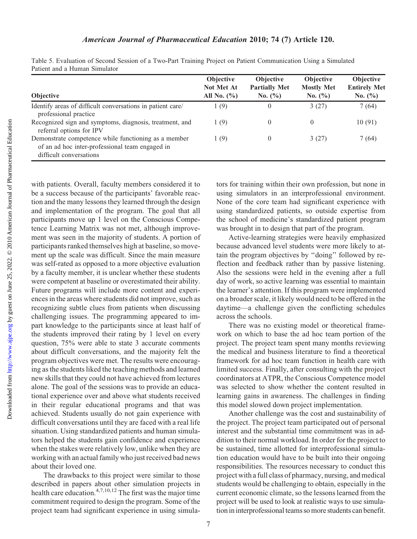## American Journal of Pharmaceutical Education 2010; 74 (7) Article 120.

| Objective                                                                                                                          | <b>Objective</b><br><b>Not Met At</b><br>All No. $(\% )$ | <b>Objective</b><br><b>Partially Met</b><br>No. $(\% )$ | <b>Objective</b><br><b>Mostly Met</b><br>No. $(\% )$ | Objective<br><b>Entirely Met</b><br>No. $(\% )$ |
|------------------------------------------------------------------------------------------------------------------------------------|----------------------------------------------------------|---------------------------------------------------------|------------------------------------------------------|-------------------------------------------------|
| Identify areas of difficult conversations in patient care/<br>professional practice                                                | 1(9)                                                     | $\boldsymbol{0}$                                        | 3(27)                                                | 7(64)                                           |
| Recognized sign and symptoms, diagnosis, treatment, and<br>referral options for IPV                                                | 1(9)                                                     | $\boldsymbol{0}$                                        | $\theta$                                             | 10(91)                                          |
| Demonstrate competence while functioning as a member<br>of an ad hoc inter-professional team engaged in<br>difficult conversations | 1(9)                                                     | $\overline{0}$                                          | 3(27)                                                | 7 (64)                                          |

Table 5. Evaluation of Second Session of a Two-Part Training Project on Patient Communication Using a Simulated Patient and a Human Simulator

with patients. Overall, faculty members considered it to be a success because of the participants' favorable reaction and the many lessons they learned through the design and implementation of the program. The goal that all participants move up 1 level on the Conscious Competence Learning Matrix was not met, although improvement was seen in the majority of students. A portion of participants ranked themselves high at baseline, so movement up the scale was difficult. Since the main measure was self-rated as opposed to a more objective evaluation by a faculty member, it is unclear whether these students were competent at baseline or overestimated their ability. Future programs will include more content and experiences in the areas where students did not improve, such as recognizing subtle clues from patients when discussing challenging issues. The programming appeared to impart knowledge to the participants since at least half of the students improved their rating by 1 level on every question, 75% were able to state 3 accurate comments about difficult conversations, and the majority felt the program objectives were met. The results were encouraging as the students liked the teaching methods and learned new skills that they could not have achieved from lectures alone. The goal of the sessions was to provide an educational experience over and above what students received in their regular educational programs and that was achieved. Students usually do not gain experience with difficult conversations until they are faced with a real life situation. Using standardized patients and human simulators helped the students gain confidence and experience when the stakes were relatively low, unlike when they are working with an actual family who just received bad news about their loved one.

The drawbacks to this project were similar to those described in papers about other simulation projects in health care education.<sup>4,7,10,12</sup> The first was the major time commitment required to design the program. Some of the project team had significant experience in using simulators for training within their own profession, but none in using simulators in an interprofessional environment. None of the core team had significant experience with using standardized patients, so outside expertise from the school of medicine's standardized patient program was brought in to design that part of the program.

Active-learning strategies were heavily emphasized because advanced level students were more likely to attain the program objectives by ''doing'' followed by reflection and feedback rather than by passive listening. Also the sessions were held in the evening after a full day of work, so active learning was essential to maintain the learner's attention. If this program were implemented on a broader scale, it likely would need to be offered in the daytime—a challenge given the conflicting schedules across the schools.

There was no existing model or theoretical framework on which to base the ad hoc team portion of the project. The project team spent many months reviewing the medical and business literature to find a theoretical framework for ad hoc team function in health care with limited success. Finally, after consulting with the project coordinators at ATPR, the Conscious Competence model was selected to show whether the content resulted in learning gains in awareness. The challenges in finding this model slowed down project implementation.

Another challenge was the cost and sustainability of the project. The project team participated out of personal interest and the substantial time commitment was in addition to their normal workload. In order for the project to be sustained, time allotted for interprofessional simulation education would have to be built into their ongoing responsibilities. The resources necessary to conduct this project with a full class of pharmacy, nursing, and medical students would be challenging to obtain, especially in the current economic climate, so the lessons learned from the project will be used to look at realistic ways to use simulation in interprofessional teams so more students can benefit.